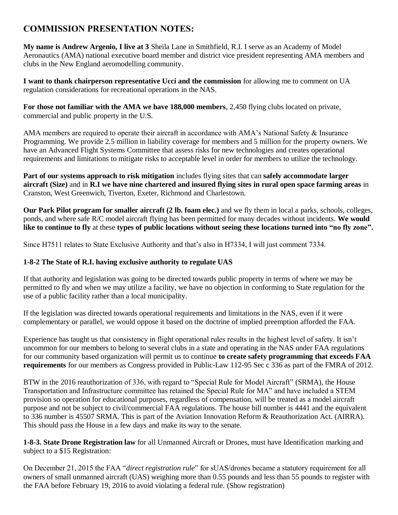# **COMMISSION PRESENTATION NOTES:**

**My name is Andrew Argenio, I live at 3** Sheila Lane in Smithfield, R.I. I serve as an Academy of Model Aeronautics (AMA) national executive board member and district vice president representing AMA members and clubs in the New England aeromodelling community.

**I want to thank chairperson representative Ucci and the commission** for allowing me to comment on UA regulation considerations for recreational operations in the NAS.

**For those not familiar with the AMA we have 188,000 members**, 2,450 flying clubs located on private, commercial and public property in the U.S.

AMA members are required to operate their aircraft in accordance with AMA's National Safety & Insurance Programming. We provide 2.5 million in liability coverage for members and 5 million for the property owners. We have an Advanced Flight Systems Committee that assess risks for new technologies and creates operational requirements and limitations to mitigate risks to acceptable level in order for members to utilize the technology.

**Part of our systems approach to risk mitigation** includes flying sites that can **safely accommodate larger aircraft (Size)** and in **R.I we have nine chartered and insured flying sites in rural open space farming areas** in Cranston, West Greenwich, Tiverton, Exeter, Richmond and Charlestown.

**Our Park Pilot program for smaller aircraft (2 lb. foam elec.)** and we fly them in local a parks, schools, colleges, ponds, and where safe R/C model aircraft flying has been permitted for many decades without incidents. **We would like to continue to fly** at these **types of public locations without seeing these locations turned into "no fly zone".**

Since H7511 relates to State Exclusive Authority and that's also in H7334, I will just comment 7334.

## **1-8-2 The State of R.I. having exclusive authority to regulate UAS**

If that authority and legislation was going to be directed towards public property in terms of where we may be permitted to fly and when we may utilize a facility, we have no objection in conforming to State regulation for the use of a public facility rather than a local municipality.

If the legislation was directed towards operational requirements and limitations in the NAS, even if it were complementary or parallel, we would oppose it based on the doctrine of implied preemption afforded the FAA.

Experience has taught us that consistency in flight operational rules results in the highest level of safety. It isn't uncommon for our members to belong to several clubs in a state and operating in the NAS under FAA regulations for our community based organization will permit us to continue **to create safety programming that exceeds FAA requirements** for our members as Congress provided in Public-Law 112-95 Sec c 336 as part of the FMRA of 2012.

BTW in the 2016 reauthorization of 336, with regard to "Special Rule for Model Aircraft" (SRMA), the House Transportation and Infrastructure committee has retained the Special Rule for MA" and have included a STEM provision so operation for educational purposes, regardless of compensation, will be treated as a model aircraft purpose and not be subject to civil/commercial FAA regulations. The house bill number is 4441 and the equivalent to 336 number is 45507 SRMA. This is part of the Aviation Innovation Reform & Reauthorization Act. (AIRRA). This should pass the House in a few days and make its way to the senate.

**1-8-3. State Drone Registration law** for all Unmanned Aircraft or Drones, must have Identification marking and subject to a \$15 Registration:

On December 21, 2015 the FAA "*direct registration rule*" for sUAS/drones became a statutory requirement for all owners of small unmanned aircraft (UAS) weighing more than 0.55 pounds and less than 55 pounds to register with the FAA before February 19, 2016 to avoid violating a federal rule. (Show registration)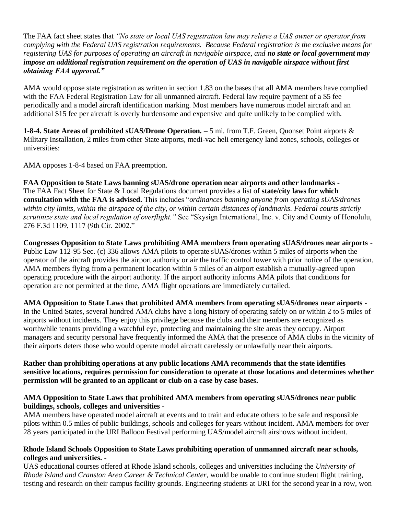The FAA fact sheet states that *"No state or local UAS registration law may relieve a UAS owner or operator from complying with the Federal UAS registration requirements. Because Federal registration is the exclusive means for registering UAS for purposes of operating an aircraft in navigable airspace, and no state or local government may impose an additional registration requirement on the operation of UAS in navigable airspace without first obtaining FAA approval."* 

AMA would oppose state registration as written in section 1.83 on the bases that all AMA members have complied with the FAA Federal Registration Law for all unmanned aircraft. Federal law require payment of a \$5 fee periodically and a model aircraft identification marking. Most members have numerous model aircraft and an additional \$15 fee per aircraft is overly burdensome and expensive and quite unlikely to be complied with.

**1-8-4. State Areas of prohibited sUAS/Drone Operation. –** 5 mi. from T.F. Green, Quonset Point airports & Military Installation, 2 miles from other State airports, medi-vac heli emergency land zones, schools, colleges or universities:

AMA opposes 1-8-4 based on FAA preemption.

**FAA Opposition to State Laws banning sUAS/drone operation near airports and other landmarks -** The FAA Fact Sheet for State & Local Regulations document provides a list of **state/city laws for which consultation with the FAA is advised.** This includes "*ordinances banning anyone from operating sUAS/drones within city limits, within the airspace of the city, or within certain distances of landmarks. Federal courts strictly scrutinize state and local regulation of overflight."* See "Skysign International, Inc. v. City and County of Honolulu, 276 F.3d 1109, 1117 (9th Cir. 2002."

**Congresses Opposition to State Laws prohibiting AMA members from operating sUAS/drones near airports** *-* Public Law 112-95 Sec. (c) 336 allows AMA pilots to operate sUAS/drones within 5 miles of airports when the operator of the aircraft provides the airport authority or air the traffic control tower with prior notice of the operation. AMA members flying from a permanent location within 5 miles of an airport establish a mutually-agreed upon operating procedure with the airport authority. If the airport authority informs AMA pilots that conditions for operation are not permitted at the time, AMA flight operations are immediately curtailed.

**AMA Opposition to State Laws that prohibited AMA members from operating sUAS/drones near airports -** In the United States, several hundred AMA clubs have a long history of operating safely on or within 2 to 5 miles of airports without incidents. They enjoy this privilege because the clubs and their members are recognized as worthwhile tenants providing a watchful eye, protecting and maintaining the site areas they occupy. Airport managers and security personal have frequently informed the AMA that the presence of AMA clubs in the vicinity of their airports deters those who would operate model aircraft carelessly or unlawfully near their airports.

### **Rather than prohibiting operations at any public locations AMA recommends that the state identifies sensitive locations, requires permission for consideration to operate at those locations and determines whether permission will be granted to an applicant or club on a case by case bases.**

### **AMA Opposition to State Laws that prohibited AMA members from operating sUAS/drones near public buildings, schools, colleges and universities -**

AMA members have operated model aircraft at events and to train and educate others to be safe and responsible pilots within 0.5 miles of public buildings, schools and colleges for years without incident. AMA members for over 28 years participated in the URI Balloon Festival performing UAS/model aircraft airshows without incident.

### **Rhode Island Schools Opposition to State Laws prohibiting operation of unmanned aircraft near schools, colleges and universities. -**

UAS educational courses offered at Rhode Island schools, colleges and universities including the *University of Rhode Island and Cranston Area Career & Technical Center*, would be unable to continue student flight training, testing and research on their campus facility grounds. Engineering students at URI for the second year in a row, won